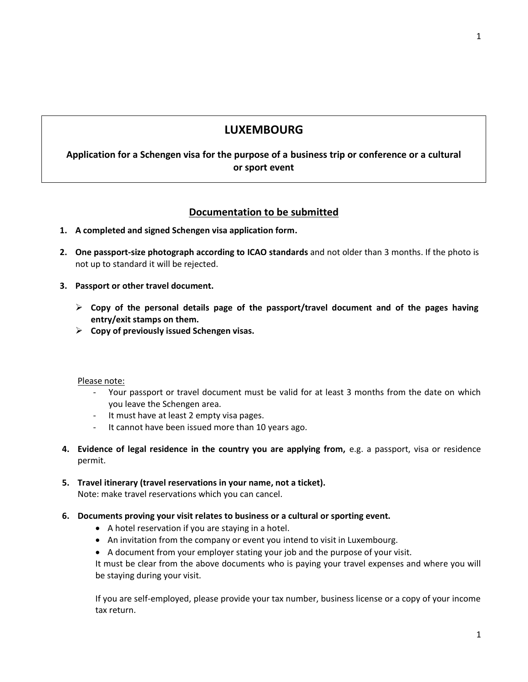# **LUXEMBOURG**

**Application for a Schengen visa for the purpose of a business trip or conference or a cultural or sport event** 

# **Documentation to be submitted**

- **1. A completed and signed Schengen visa application form.**
- **2. One passport-size photograph according to ICAO standards** and not older than 3 months. If the photo is not up to standard it will be rejected.
- **3. Passport or other travel document.**
	- **Copy of the personal details page of the passport/travel document and of the pages having entry/exit stamps on them.**
	- **Copy of previously issued Schengen visas.**

Please note:

- Your passport or travel document must be valid for at least 3 months from the date on which you leave the Schengen area.
- It must have at least 2 empty visa pages.
- It cannot have been issued more than 10 years ago.
- **4. Evidence of legal residence in the country you are applying from,** e.g. a passport, visa or residence permit.
- **5. Travel itinerary (travel reservations in your name, not a ticket).** Note: make travel reservations which you can cancel.
- **6. Documents proving your visit relates to business or a cultural or sporting event.**
	- A hotel reservation if you are staying in a hotel.
	- An invitation from the company or event you intend to visit in Luxembourg.
	- A document from your employer stating your job and the purpose of your visit.

It must be clear from the above documents who is paying your travel expenses and where you will be staying during your visit.

If you are self-employed, please provide your tax number, business license or a copy of your income tax return.